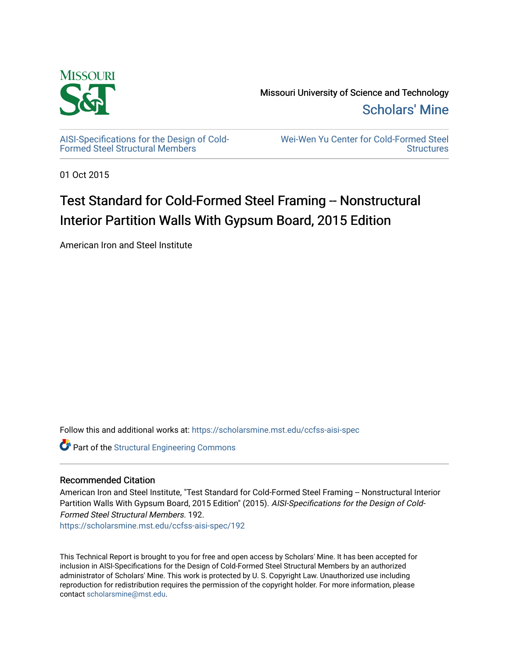

[AISI-Specifications for the Design of Cold-](https://scholarsmine.mst.edu/ccfss-aisi-spec)[Formed Steel Structural Members](https://scholarsmine.mst.edu/ccfss-aisi-spec)

[Wei-Wen Yu Center for Cold-Formed Steel](https://scholarsmine.mst.edu/ccfss)  **Structures** 

01 Oct 2015

# Test Standard for Cold-Formed Steel Framing -- Nonstructural Interior Partition Walls With Gypsum Board, 2015 Edition

American Iron and Steel Institute

Follow this and additional works at: [https://scholarsmine.mst.edu/ccfss-aisi-spec](https://scholarsmine.mst.edu/ccfss-aisi-spec?utm_source=scholarsmine.mst.edu%2Fccfss-aisi-spec%2F192&utm_medium=PDF&utm_campaign=PDFCoverPages) 

**Part of the Structural Engineering Commons** 

# Recommended Citation

American Iron and Steel Institute, "Test Standard for Cold-Formed Steel Framing -- Nonstructural Interior Partition Walls With Gypsum Board, 2015 Edition" (2015). AISI-Specifications for the Design of Cold-Formed Steel Structural Members. 192.

[https://scholarsmine.mst.edu/ccfss-aisi-spec/192](https://scholarsmine.mst.edu/ccfss-aisi-spec/192?utm_source=scholarsmine.mst.edu%2Fccfss-aisi-spec%2F192&utm_medium=PDF&utm_campaign=PDFCoverPages) 

This Technical Report is brought to you for free and open access by Scholars' Mine. It has been accepted for inclusion in AISI-Specifications for the Design of Cold-Formed Steel Structural Members by an authorized administrator of Scholars' Mine. This work is protected by U. S. Copyright Law. Unauthorized use including reproduction for redistribution requires the permission of the copyright holder. For more information, please contact [scholarsmine@mst.edu](mailto:scholarsmine@mst.edu).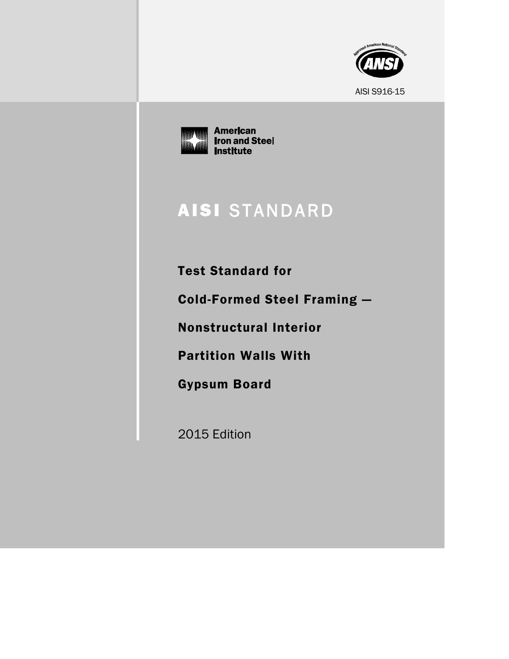



# **AISI** STANDARD

Test Standard for

Cold-Formed Steel Framing —

Nonstructural Interior

Partition Walls With

Gypsum Board

2015 Edition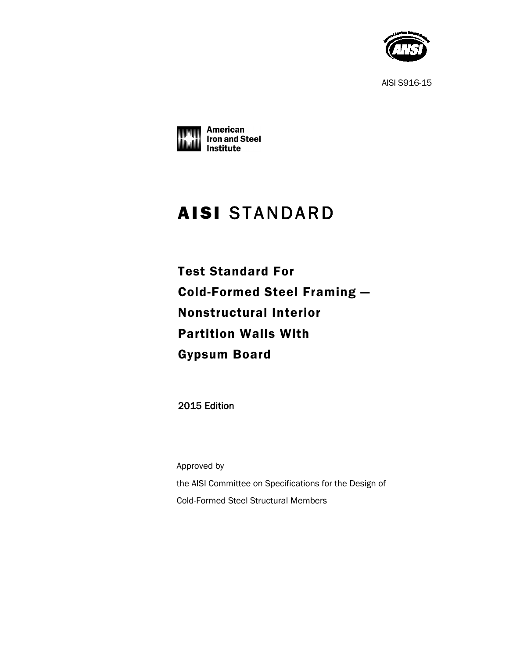

AISI S916-15



# AISI STANDARD

Test Standard For Cold-Formed Steel Framing — Nonstructural Interior Partition Walls With Gypsum Board

2015 Edition

Approved by the AISI Committee on Specifications for the Design of Cold-Formed Steel Structural Members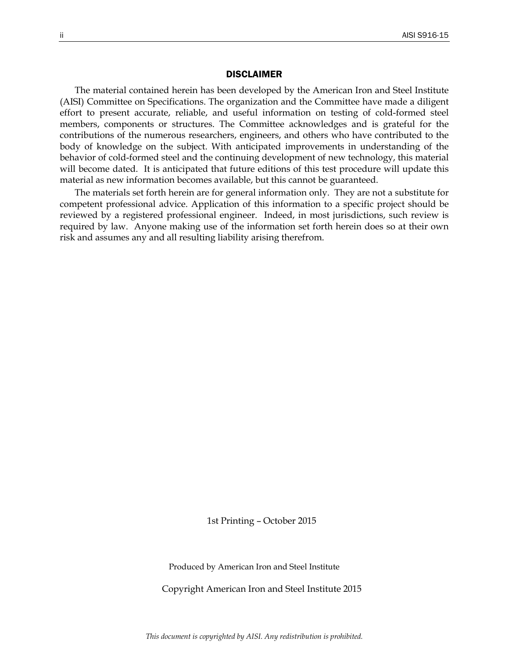#### DISCLAIMER

The material contained herein has been developed by the American Iron and Steel Institute (AISI) Committee on Specifications. The organization and the Committee have made a diligent effort to present accurate, reliable, and useful information on testing of cold-formed steel members, components or structures. The Committee acknowledges and is grateful for the contributions of the numerous researchers, engineers, and others who have contributed to the body of knowledge on the subject. With anticipated improvements in understanding of the behavior of cold-formed steel and the continuing development of new technology, this material will become dated. It is anticipated that future editions of this test procedure will update this material as new information becomes available, but this cannot be guaranteed.

The materials set forth herein are for general information only. They are not a substitute for competent professional advice. Application of this information to a specific project should be reviewed by a registered professional engineer. Indeed, in most jurisdictions, such review is required by law. Anyone making use of the information set forth herein does so at their own risk and assumes any and all resulting liability arising therefrom.

1st Printing – October 2015

Produced by American Iron and Steel Institute

Copyright American Iron and Steel Institute 2015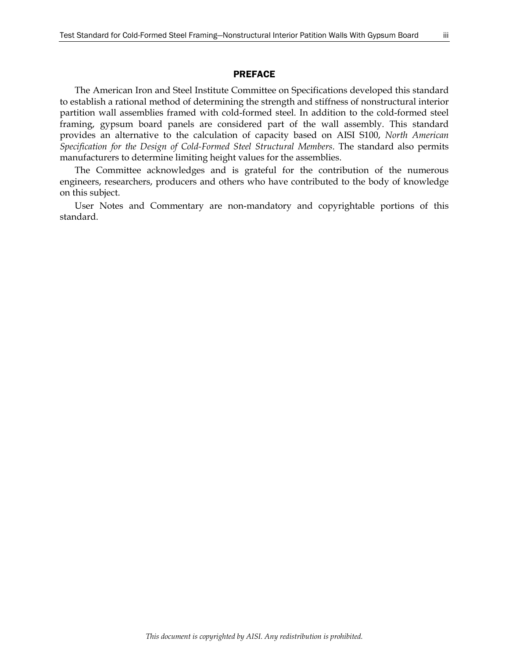#### PREFACE

The American Iron and Steel Institute Committee on Specifications developed this standard to establish a rational method of determining the strength and stiffness of nonstructural interior partition wall assemblies framed with cold-formed steel. In addition to the cold-formed steel framing, gypsum board panels are considered part of the wall assembly. This standard provides an alternative to the calculation of capacity based on AISI S100, *North American Specification for the Design of Cold-Formed Steel Structural Members*. The standard also permits manufacturers to determine limiting height values for the assemblies.

The Committee acknowledges and is grateful for the contribution of the numerous engineers, researchers, producers and others who have contributed to the body of knowledge on this subject.

User Notes and Commentary are non-mandatory and copyrightable portions of this standard.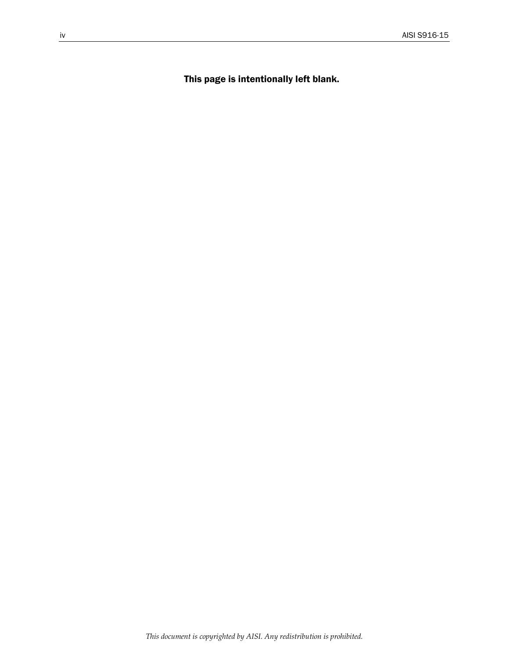This page is intentionally left blank.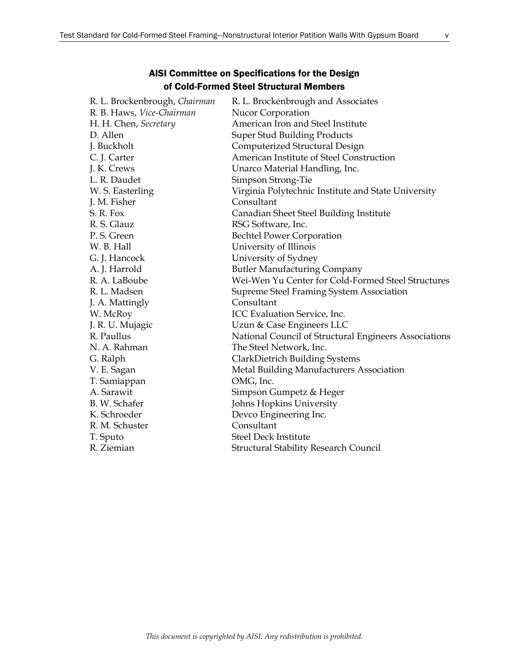# AISI Committee on Specifications for the Design of Cold-Formed Steel Structural Members

| R. L. Brockenbrough, Chairman | R. L. Brockenbrough and Associates                    |
|-------------------------------|-------------------------------------------------------|
| R. B. Haws, Vice-Chairman     | Nucor Corporation                                     |
| H. H. Chen, Secretary         | American Iron and Steel Institute                     |
| D. Allen                      | <b>Super Stud Building Products</b>                   |
| J. Buckholt                   | Computerized Structural Design                        |
| C. J. Carter                  | American Institute of Steel Construction              |
| J. K. Crews                   | Unarco Material Handling, Inc.                        |
| L. R. Daudet                  | Simpson Strong-Tie                                    |
| W. S. Easterling              | Virginia Polytechnic Institute and State University   |
| J. M. Fisher                  | Consultant                                            |
| S. R. Fox                     | Canadian Sheet Steel Building Institute               |
| R. S. Glauz                   | RSG Software, Inc.                                    |
| P. S. Green                   | <b>Bechtel Power Corporation</b>                      |
| W. B. Hall                    | University of Illinois                                |
| G. J. Hancock                 | University of Sydney                                  |
| A. J. Harrold                 | <b>Butler Manufacturing Company</b>                   |
| R. A. LaBoube                 | Wei-Wen Yu Center for Cold-Formed Steel Structures    |
| R. L. Madsen                  | <b>Supreme Steel Framing System Association</b>       |
| J. A. Mattingly               | Consultant                                            |
| W. McRoy                      | ICC Evaluation Service, Inc.                          |
| J. R. U. Mujagic              | Uzun & Case Engineers LLC                             |
| R. Paullus                    | National Council of Structural Engineers Associations |
| N. A. Rahman                  | The Steel Network, Inc.                               |
| G. Ralph                      | <b>ClarkDietrich Building Systems</b>                 |
| V. E. Sagan                   | <b>Metal Building Manufacturers Association</b>       |
| T. Samiappan                  | OMG, Inc.                                             |
| A. Sarawit                    | Simpson Gumpetz & Heger                               |
| B. W. Schafer                 | Johns Hopkins University                              |
| K. Schroeder                  | Devco Engineering Inc.                                |
| R. M. Schuster                | Consultant                                            |
| T. Sputo                      | <b>Steel Deck Institute</b>                           |
| R. Ziemian                    | <b>Structural Stability Research Council</b>          |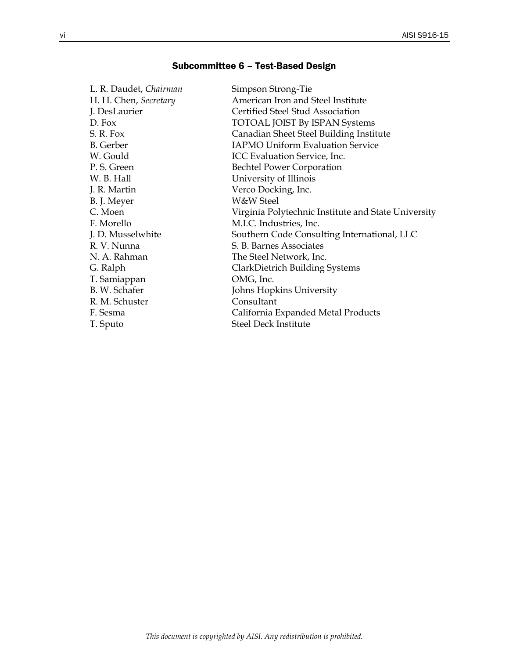# Subcommittee 6 – Test-Based Design

| L. R. Daudet, Chairman | Simpson Strong-Tie                                  |
|------------------------|-----------------------------------------------------|
| H. H. Chen, Secretary  | American Iron and Steel Institute                   |
| J. DesLaurier          | Certified Steel Stud Association                    |
| D. Fox                 | TOTOAL JOIST By ISPAN Systems                       |
| S. R. Fox              | Canadian Sheet Steel Building Institute             |
| <b>B.</b> Gerber       | <b>IAPMO Uniform Evaluation Service</b>             |
| W. Gould               | ICC Evaluation Service, Inc.                        |
| P. S. Green            | <b>Bechtel Power Corporation</b>                    |
| W. B. Hall             | University of Illinois                              |
| J. R. Martin           | Verco Docking, Inc.                                 |
| B. J. Meyer            | W&W Steel                                           |
| C. Moen                | Virginia Polytechnic Institute and State University |
| F. Morello             | M.I.C. Industries, Inc.                             |
| J. D. Musselwhite      | Southern Code Consulting International, LLC         |
| R. V. Nunna            | S. B. Barnes Associates                             |
| N. A. Rahman           | The Steel Network, Inc.                             |
| G. Ralph               | ClarkDietrich Building Systems                      |
| T. Samiappan           | OMG, Inc.                                           |
| B. W. Schafer          | Johns Hopkins University                            |
| R. M. Schuster         | Consultant                                          |
| F. Sesma               | California Expanded Metal Products                  |
| T. Sputo               | <b>Steel Deck Institute</b>                         |
|                        |                                                     |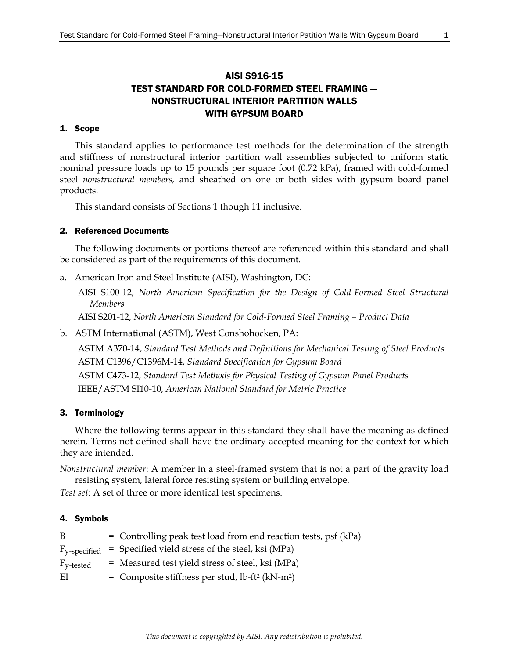# AISI S916-15 TEST STANDARD FOR COLD-FORMED STEEL FRAMING — NONSTRUCTURAL INTERIOR PARTITION WALLS WITH GYPSUM BOARD

# 1. Scope

This standard applies to performance test methods for the determination of the strength and stiffness of nonstructural interior partition wall assemblies subjected to uniform static nominal pressure loads up to 15 pounds per square foot (0.72 kPa), framed with cold-formed steel *nonstructural members,* and sheathed on one or both sides with gypsum board panel products.

This standard consists of Sections 1 though 11 inclusive.

# 2. Referenced Documents

The following documents or portions thereof are referenced within this standard and shall be considered as part of the requirements of this document.

a. American Iron and Steel Institute (AISI), Washington, DC:

AISI S100-12, *North American Specification for the Design of Cold-Formed Steel Structural Members*

AISI S201-12, *North American Standard for Cold-Formed Steel Framing – Product Data*

b. ASTM International (ASTM), West Conshohocken, PA:

ASTM A370-14, *Standard Test Methods and Definitions for Mechanical Testing of Steel Products* ASTM C1396/C1396M-14, *Standard Specification for Gypsum Board* ASTM C473-12, *Standard Test Methods for Physical Testing of Gypsum Panel Products* IEEE/ASTM SI10-10, *American National Standard for Metric Practice*

# 3. Terminology

Where the following terms appear in this standard they shall have the meaning as defined herein. Terms not defined shall have the ordinary accepted meaning for the context for which they are intended.

*Nonstructural member*: A member in a steel-framed system that is not a part of the gravity load resisting system, lateral force resisting system or building envelope.

*Test set*: A set of three or more identical test specimens.

# 4. Symbols

| = Controlling peak test load from end reaction tests, psf (kPa)          |
|--------------------------------------------------------------------------|
| $F_{y\text{-specific}}$ = Specified yield stress of the steel, ksi (MPa) |
| = Measured test yield stress of steel, ksi (MPa)                         |
| = Composite stiffness per stud, lb-ft <sup>2</sup> (kN-m <sup>2</sup> )  |
|                                                                          |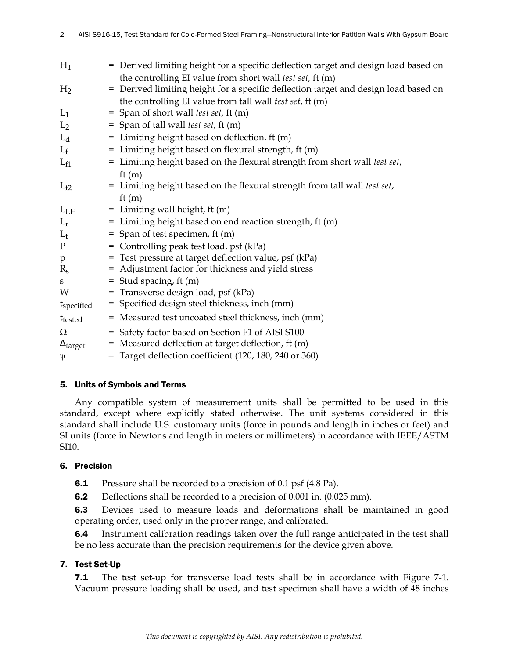| $H_1$                    | = Derived limiting height for a specific deflection target and design load based on |
|--------------------------|-------------------------------------------------------------------------------------|
|                          | the controlling EI value from short wall <i>test set</i> , ft (m)                   |
| H <sub>2</sub>           | = Derived limiting height for a specific deflection target and design load based on |
|                          | the controlling EI value from tall wall test set, ft (m)                            |
| $L_1$                    | = Span of short wall <i>test set</i> , ft (m)                                       |
| $L_2$                    | = Span of tall wall <i>test set</i> , ft (m)                                        |
| $L_d$                    | = Limiting height based on deflection, ft (m)                                       |
| $L_f$                    | = Limiting height based on flexural strength, ft (m)                                |
| $L_{f1}$                 | = Limiting height based on the flexural strength from short wall test set,          |
|                          | ft $(m)$                                                                            |
| $L_{f2}$                 | = Limiting height based on the flexural strength from tall wall test set,           |
|                          | ft $(m)$                                                                            |
| $L_{LH}$                 | $=$ Limiting wall height, ft (m)                                                    |
| $L_r$                    | = Limiting height based on end reaction strength, ft (m)                            |
| $L_t$                    | $=$ Span of test specimen, ft (m)                                                   |
| $\mathbf P$              | = Controlling peak test load, psf (kPa)                                             |
| $\rm p$                  | = Test pressure at target deflection value, psf (kPa)                               |
| $R_{\rm s}$              | = Adjustment factor for thickness and yield stress                                  |
| S                        | $=$ Stud spacing, ft (m)                                                            |
| W                        | = Transverse design load, psf (kPa)                                                 |
| t <sub>specified</sub>   | = Specified design steel thickness, inch (mm)                                       |
| t <sub>tested</sub>      | = Measured test uncoated steel thickness, inch (mm)                                 |
| Ω                        | = Safety factor based on Section F1 of AISI S100                                    |
| $\Delta_{\text{target}}$ | = Measured deflection at target deflection, ft (m)                                  |
| Ψ                        | = Target deflection coefficient (120, 180, 240 or 360)                              |

# 5. Units of Symbols and Terms

Any compatible system of measurement units shall be permitted to be used in this standard, except where explicitly stated otherwise. The unit systems considered in this standard shall include U.S. customary units (force in pounds and length in inches or feet) and SI units (force in Newtons and length in meters or millimeters) in accordance with IEEE/ASTM SI10.

# 6. Precision

**6.1** Pressure shall be recorded to a precision of 0.1 psf (4.8 Pa).

**6.2** Deflections shall be recorded to a precision of 0.001 in. (0.025 mm).

6.3 Devices used to measure loads and deformations shall be maintained in good operating order, used only in the proper range, and calibrated.

6.4 Instrument calibration readings taken over the full range anticipated in the test shall be no less accurate than the precision requirements for the device given above.

# 7. Test Set-Up

**7.1** The test set-up for transverse load tests shall be in accordance with Figure 7-1. Vacuum pressure loading shall be used, and test specimen shall have a width of 48 inches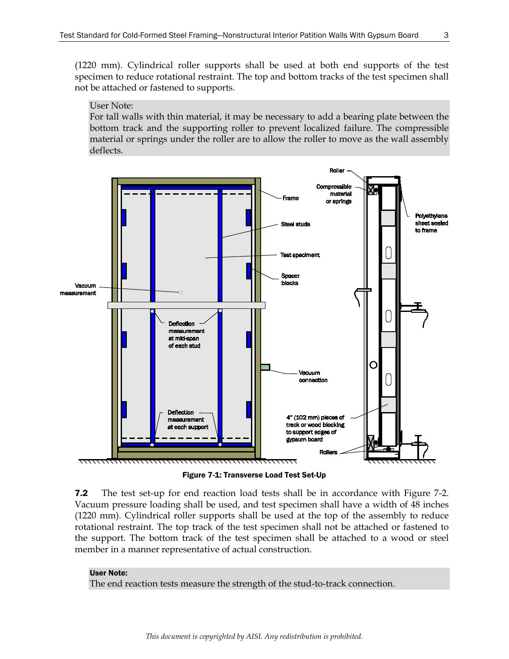(1220 mm). Cylindrical roller supports shall be used at both end supports of the test specimen to reduce rotational restraint. The top and bottom tracks of the test specimen shall not be attached or fastened to supports.

### User Note:

For tall walls with thin material, it may be necessary to add a bearing plate between the bottom track and the supporting roller to prevent localized failure. The compressible material or springs under the roller are to allow the roller to move as the wall assembly deflects.



Figure 7-1: Transverse Load Test Set-Up

**7.2** The test set-up for end reaction load tests shall be in accordance with Figure 7-2. Vacuum pressure loading shall be used, and test specimen shall have a width of 48 inches (1220 mm). Cylindrical roller supports shall be used at the top of the assembly to reduce rotational restraint. The top track of the test specimen shall not be attached or fastened to the support. The bottom track of the test specimen shall be attached to a wood or steel member in a manner representative of actual construction.

#### User Note:

The end reaction tests measure the strength of the stud-to-track connection.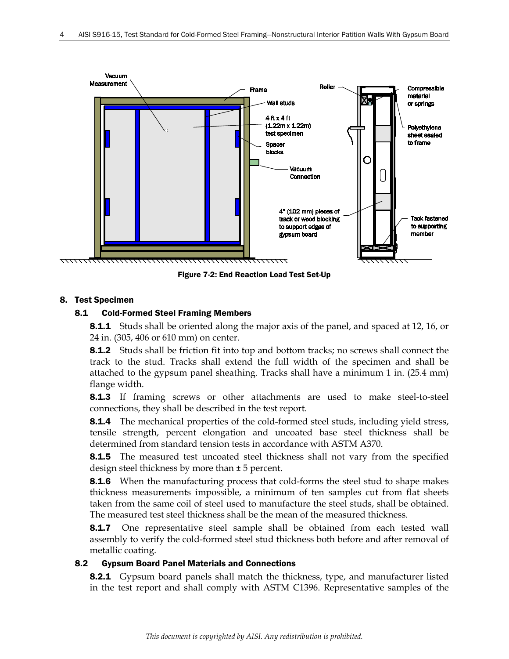

Figure 7-2: End Reaction Load Test Set-Up

# 8. Test Specimen

# 8.1 Cold-Formed Steel Framing Members

**8.1.1** Studs shall be oriented along the major axis of the panel, and spaced at 12, 16, or 24 in. (305, 406 or 610 mm) on center.

**8.1.2** Studs shall be friction fit into top and bottom tracks; no screws shall connect the track to the stud. Tracks shall extend the full width of the specimen and shall be attached to the gypsum panel sheathing. Tracks shall have a minimum 1 in. (25.4 mm) flange width.

8.1.3 If framing screws or other attachments are used to make steel-to-steel connections, they shall be described in the test report.

**8.1.4** The mechanical properties of the cold-formed steel studs, including yield stress, tensile strength, percent elongation and uncoated base steel thickness shall be determined from standard tension tests in accordance with ASTM A370.

**8.1.5** The measured test uncoated steel thickness shall not vary from the specified design steel thickness by more than ± 5 percent.

**8.1.6** When the manufacturing process that cold-forms the steel stud to shape makes thickness measurements impossible, a minimum of ten samples cut from flat sheets taken from the same coil of steel used to manufacture the steel studs, shall be obtained. The measured test steel thickness shall be the mean of the measured thickness.

**8.1.7** One representative steel sample shall be obtained from each tested wall assembly to verify the cold-formed steel stud thickness both before and after removal of metallic coating.

# 8.2 Gypsum Board Panel Materials and Connections

**8.2.1** Gypsum board panels shall match the thickness, type, and manufacturer listed in the test report and shall comply with ASTM C1396. Representative samples of the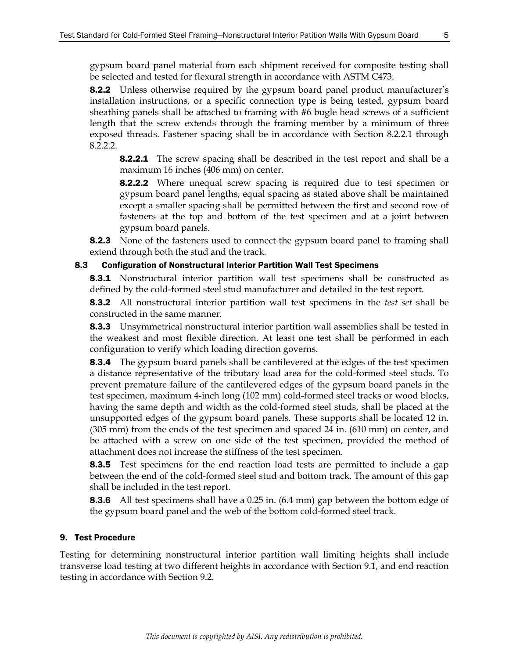**8.2.2** Unless otherwise required by the gypsum board panel product manufacturer's installation instructions, or a specific connection type is being tested, gypsum board sheathing panels shall be attached to framing with #6 bugle head screws of a sufficient length that the screw extends through the framing member by a minimum of three exposed threads. Fastener spacing shall be in accordance with Section 8.2.2.1 through 8.2.2.2.

**8.2.2.1** The screw spacing shall be described in the test report and shall be a maximum 16 inches (406 mm) on center.

**8.2.2.2** Where unequal screw spacing is required due to test specimen or gypsum board panel lengths, equal spacing as stated above shall be maintained except a smaller spacing shall be permitted between the first and second row of fasteners at the top and bottom of the test specimen and at a joint between gypsum board panels.

**8.2.3** None of the fasteners used to connect the gypsum board panel to framing shall extend through both the stud and the track.

# 8.3 Configuration of Nonstructural Interior Partition Wall Test Specimens

8.3.1 Nonstructural interior partition wall test specimens shall be constructed as defined by the cold-formed steel stud manufacturer and detailed in the test report.

8.3.2 All nonstructural interior partition wall test specimens in the *test set* shall be constructed in the same manner.

**8.3.3** Unsymmetrical nonstructural interior partition wall assemblies shall be tested in the weakest and most flexible direction. At least one test shall be performed in each configuration to verify which loading direction governs.

**8.3.4** The gypsum board panels shall be cantilevered at the edges of the test specimen a distance representative of the tributary load area for the cold-formed steel studs. To prevent premature failure of the cantilevered edges of the gypsum board panels in the test specimen, maximum 4-inch long (102 mm) cold-formed steel tracks or wood blocks, having the same depth and width as the cold-formed steel studs, shall be placed at the unsupported edges of the gypsum board panels. These supports shall be located 12 in. (305 mm) from the ends of the test specimen and spaced 24 in. (610 mm) on center, and be attached with a screw on one side of the test specimen, provided the method of attachment does not increase the stiffness of the test specimen.

**8.3.5** Test specimens for the end reaction load tests are permitted to include a gap between the end of the cold-formed steel stud and bottom track. The amount of this gap shall be included in the test report.

**8.3.6** All test specimens shall have a 0.25 in. (6.4 mm) gap between the bottom edge of the gypsum board panel and the web of the bottom cold-formed steel track.

# 9. Test Procedure

Testing for determining nonstructural interior partition wall limiting heights shall include transverse load testing at two different heights in accordance with Section 9.1, and end reaction testing in accordance with Section 9.2.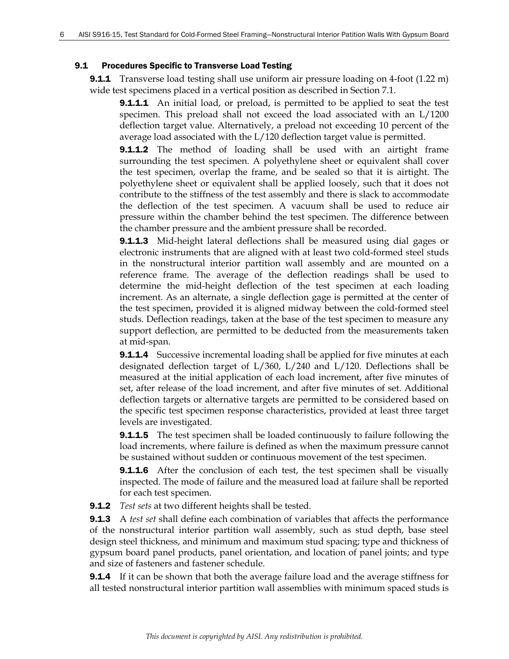### 9.1 Procedures Specific to Transverse Load Testing

**9.1.1** Transverse load testing shall use uniform air pressure loading on 4-foot (1.22 m) wide test specimens placed in a vertical position as described in Section 7.1.

**9.1.1.1** An initial load, or preload, is permitted to be applied to seat the test specimen. This preload shall not exceed the load associated with an L/1200 deflection target value. Alternatively, a preload not exceeding 10 percent of the average load associated with the L/120 deflection target value is permitted.

**9.1.1.2** The method of loading shall be used with an airtight frame surrounding the test specimen. A polyethylene sheet or equivalent shall cover the test specimen, overlap the frame, and be sealed so that it is airtight. The polyethylene sheet or equivalent shall be applied loosely, such that it does not contribute to the stiffness of the test assembly and there is slack to accommodate the deflection of the test specimen. A vacuum shall be used to reduce air pressure within the chamber behind the test specimen. The difference between the chamber pressure and the ambient pressure shall be recorded.

**9.1.1.3** Mid-height lateral deflections shall be measured using dial gages or electronic instruments that are aligned with at least two cold-formed steel studs in the nonstructural interior partition wall assembly and are mounted on a reference frame. The average of the deflection readings shall be used to determine the mid-height deflection of the test specimen at each loading increment. As an alternate, a single deflection gage is permitted at the center of the test specimen, provided it is aligned midway between the cold-formed steel studs. Deflection readings, taken at the base of the test specimen to measure any support deflection, are permitted to be deducted from the measurements taken at mid-span.

**9.1.1.4** Successive incremental loading shall be applied for five minutes at each designated deflection target of L/360, L/240 and L/120. Deflections shall be measured at the initial application of each load increment, after five minutes of set, after release of the load increment, and after five minutes of set. Additional deflection targets or alternative targets are permitted to be considered based on the specific test specimen response characteristics, provided at least three target levels are investigated.

**9.1.1.5** The test specimen shall be loaded continuously to failure following the load increments, where failure is defined as when the maximum pressure cannot be sustained without sudden or continuous movement of the test specimen.

**9.1.1.6** After the conclusion of each test, the test specimen shall be visually inspected. The mode of failure and the measured load at failure shall be reported for each test specimen.

9.1.2 *Test sets* at two different heights shall be tested.

9.1.3 A *test set* shall define each combination of variables that affects the performance of the nonstructural interior partition wall assembly, such as stud depth, base steel design steel thickness, and minimum and maximum stud spacing; type and thickness of gypsum board panel products, panel orientation, and location of panel joints; and type and size of fasteners and fastener schedule.

**9.1.4** If it can be shown that both the average failure load and the average stiffness for all tested nonstructural interior partition wall assemblies with minimum spaced studs is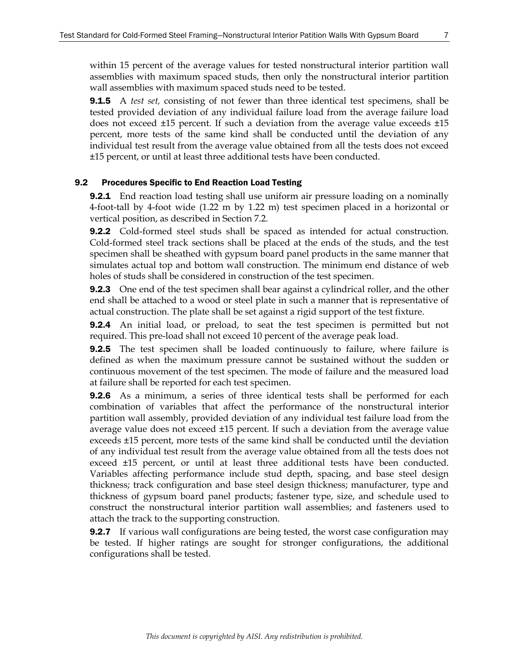9.1.5 A *test set,* consisting of not fewer than three identical test specimens, shall be tested provided deviation of any individual failure load from the average failure load does not exceed ±15 percent. If such a deviation from the average value exceeds ±15 percent, more tests of the same kind shall be conducted until the deviation of any individual test result from the average value obtained from all the tests does not exceed ±15 percent, or until at least three additional tests have been conducted.

# 9.2 Procedures Specific to End Reaction Load Testing

**9.2.1** End reaction load testing shall use uniform air pressure loading on a nominally 4-foot-tall by 4-foot wide (1.22 m by 1.22 m) test specimen placed in a horizontal or vertical position, as described in Section 7.2.

**9.2.2** Cold-formed steel studs shall be spaced as intended for actual construction. Cold-formed steel track sections shall be placed at the ends of the studs, and the test specimen shall be sheathed with gypsum board panel products in the same manner that simulates actual top and bottom wall construction. The minimum end distance of web holes of studs shall be considered in construction of the test specimen.

**9.2.3** One end of the test specimen shall bear against a cylindrical roller, and the other end shall be attached to a wood or steel plate in such a manner that is representative of actual construction. The plate shall be set against a rigid support of the test fixture.

**9.2.4** An initial load, or preload, to seat the test specimen is permitted but not required. This pre-load shall not exceed 10 percent of the average peak load.

**9.2.5** The test specimen shall be loaded continuously to failure, where failure is defined as when the maximum pressure cannot be sustained without the sudden or continuous movement of the test specimen. The mode of failure and the measured load at failure shall be reported for each test specimen.

**9.2.6** As a minimum, a series of three identical tests shall be performed for each combination of variables that affect the performance of the nonstructural interior partition wall assembly, provided deviation of any individual test failure load from the average value does not exceed ±15 percent. If such a deviation from the average value exceeds ±15 percent, more tests of the same kind shall be conducted until the deviation of any individual test result from the average value obtained from all the tests does not exceed ±15 percent, or until at least three additional tests have been conducted. Variables affecting performance include stud depth, spacing, and base steel design thickness; track configuration and base steel design thickness; manufacturer, type and thickness of gypsum board panel products; fastener type, size, and schedule used to construct the nonstructural interior partition wall assemblies; and fasteners used to attach the track to the supporting construction.

**9.2.7** If various wall configurations are being tested, the worst case configuration may be tested. If higher ratings are sought for stronger configurations, the additional configurations shall be tested.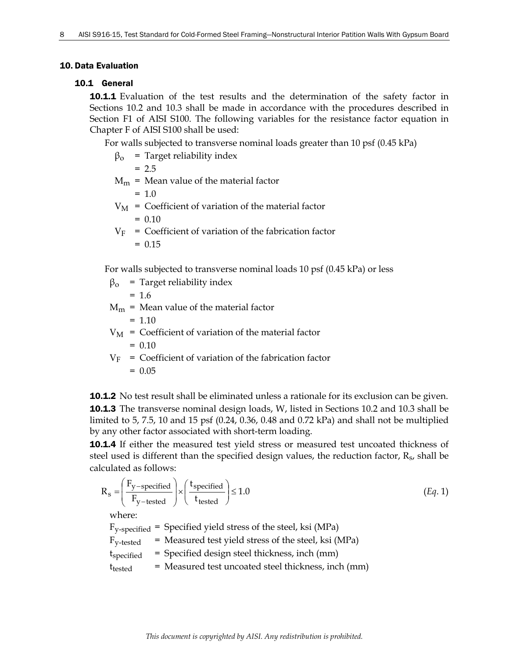#### 10. Data Evaluation

#### 10.1 General

10.1.1 Evaluation of the test results and the determination of the safety factor in Sections 10.2 and 10.3 shall be made in accordance with the procedures described in Section F1 of AISI S100. The following variables for the resistance factor equation in Chapter F of AISI S100 shall be used:

For walls subjected to transverse nominal loads greater than 10 psf (0.45 kPa)

 $\beta_0$  = Target reliability index

$$
= 2.5
$$

 $M_m$  = Mean value of the material factor

$$
= 1.0
$$

 $V_M$  = Coefficient of variation of the material factor

$$
= 0.10
$$

 $V_F$  = Coefficient of variation of the fabrication factor

 $= 0.15$ 

For walls subjected to transverse nominal loads 10 psf (0.45 kPa) or less

 $β<sub>o</sub> = Target reliability index$ 

$$
= 1.6
$$

 $M_m$  = Mean value of the material factor

- $= 1.10$
- $V_M$  = Coefficient of variation of the material factor

$$
= 0.10
$$

- $V_F$  = Coefficient of variation of the fabrication factor
	- = 0.05

**10.1.2** No test result shall be eliminated unless a rationale for its exclusion can be given. 10.1.3 The transverse nominal design loads, W, listed in Sections 10.2 and 10.3 shall be limited to 5, 7.5, 10 and 15 psf (0.24, 0.36, 0.48 and 0.72 kPa) and shall not be multiplied by any other factor associated with short-term loading.

**10.1.4** If either the measured test yield stress or measured test uncoated thickness of steel used is different than the specified design values, the reduction factor,  $R_{s}$ , shall be calculated as follows:

$$
R_s = \left(\frac{F_{y-\text{specified}}}{F_{y-\text{tested}}}\right) \times \left(\frac{t_{\text{specified}}}{t_{\text{tested}}}\right) \le 1.0
$$
 (Eq. 1)

where:

 $F_{v\text{-specific}} =$  Specified yield stress of the steel, ksi (MPa)

 $F_{v\text{-tested}}$  = Measured test yield stress of the steel, ksi (MPa)

 $t_{\text{specified}}$  = Specified design steel thickness, inch (mm)

 $t_{\text{tested}}$  = Measured test uncoated steel thickness, inch (mm)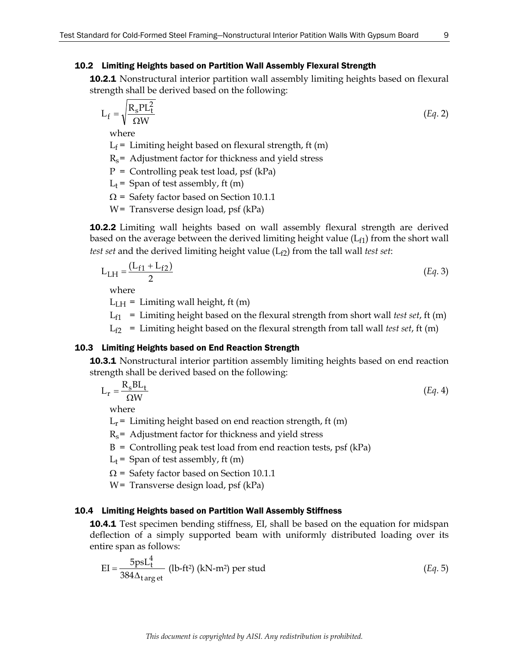#### 10.2 Limiting Heights based on Partition Wall Assembly Flexural Strength

**10.2.1** Nonstructural interior partition wall assembly limiting heights based on flexural strength shall be derived based on the following:

$$
L_f = \sqrt{\frac{R_s P L_t^2}{\Omega W}}
$$
 (Eq. 2)

where

 $L_f$  = Limiting height based on flexural strength, ft (m)

 $R<sub>s</sub>$  = Adjustment factor for thickness and yield stress

 $P =$  Controlling peak test load, psf (kPa)

 $L_t$  = Span of test assembly, ft (m)

 $\Omega$  = Safety factor based on Section 10.1.1

W= Transverse design load, psf (kPa)

**10.2.2** Limiting wall heights based on wall assembly flexural strength are derived based on the average between the derived limiting height value  $(L_{f1})$  from the short wall *test set* and the derived limiting height value (L<sub>f2</sub>) from the tall wall *test set*:

$$
L_{LH} = \frac{(L_{f1} + L_{f2})}{2} \tag{Eq. 3}
$$

where

 $L<sub>LH</sub>$  = Limiting wall height, ft (m)

 $L_{f1}$  = Limiting height based on the flexural strength from short wall *test set*, ft (m)

 $L_{f2}$  = Limiting height based on the flexural strength from tall wall *test set*, ft (m)

### 10.3 Limiting Heights based on End Reaction Strength

**10.3.1** Nonstructural interior partition assembly limiting heights based on end reaction strength shall be derived based on the following:

$$
L_r = \frac{R_s BL_t}{\Omega W} \tag{Eq. 4}
$$

where

 $L_r$  = Limiting height based on end reaction strength, ft (m)

 $R<sub>s</sub>$  = Adjustment factor for thickness and yield stress

 $B =$  Controlling peak test load from end reaction tests, psf (kPa)

 $L_t$  = Span of test assembly, ft (m)

 $\Omega$  = Safety factor based on Section 10.1.1

W= Transverse design load, psf (kPa)

#### 10.4 Limiting Heights based on Partition Wall Assembly Stiffness

**10.4.1** Test specimen bending stiffness, EI, shall be based on the equation for midspan deflection of a simply supported beam with uniformly distributed loading over its entire span as follows:

$$
EI = \frac{5psL_t^4}{384\Delta_{\text{target}}}
$$
 (lb-ft<sup>2</sup>) (kN-m<sup>2</sup>) per stud (Eq. 5)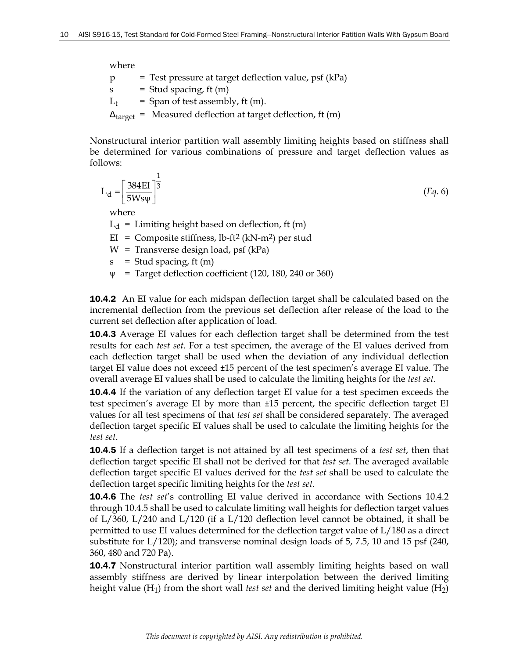where  $p = Test pressure at target deflection value, psf (kPa)$  $s =$  Stud spacing, ft (m)  $L_t$  = Span of test assembly, ft (m).  $\Delta_{\text{target}}$  = Measured deflection at target deflection, ft (m)

Nonstructural interior partition wall assembly limiting heights based on stiffness shall be determined for various combinations of pressure and target deflection values as follows:

$$
L_d = \left[\frac{384EI}{5Wsv}\right]^{\frac{1}{3}}
$$
 (*Eq. 6*)  
where

 $L_d$  = Limiting height based on deflection, ft (m)

EI = Composite stiffness, lb-ft<sup>2</sup> (kN-m<sup>2</sup>) per stud

W = Transverse design load, psf (kPa)

 $s =$  Stud spacing, ft (m)

 $\psi$  = Target deflection coefficient (120, 180, 240 or 360)

**10.4.2** An EI value for each midspan deflection target shall be calculated based on the incremental deflection from the previous set deflection after release of the load to the current set deflection after application of load.

**10.4.3** Average EI values for each deflection target shall be determined from the test results for each *test set*. For a test specimen, the average of the EI values derived from each deflection target shall be used when the deviation of any individual deflection target EI value does not exceed ±15 percent of the test specimen's average EI value. The overall average EI values shall be used to calculate the limiting heights for the *test set*.

**10.4.4** If the variation of any deflection target EI value for a test specimen exceeds the test specimen's average EI by more than ±15 percent, the specific deflection target EI values for all test specimens of that *test set* shall be considered separately. The averaged deflection target specific EI values shall be used to calculate the limiting heights for the *test set*.

10.4.5 If a deflection target is not attained by all test specimens of a *test set*, then that deflection target specific EI shall not be derived for that *test set*. The averaged available deflection target specific EI values derived for the *test set* shall be used to calculate the deflection target specific limiting heights for the *test set*.

10.4.6 The *test set*'s controlling EI value derived in accordance with Sections 10.4.2 through 10.4.5 shall be used to calculate limiting wall heights for deflection target values of L/360, L/240 and L/120 (if a L/120 deflection level cannot be obtained, it shall be permitted to use EI values determined for the deflection target value of L/180 as a direct substitute for L/120); and transverse nominal design loads of 5, 7.5, 10 and 15 psf (240, 360, 480 and 720 Pa).

10.4.7 Nonstructural interior partition wall assembly limiting heights based on wall assembly stiffness are derived by linear interpolation between the derived limiting height value (H1) from the short wall *test set* and the derived limiting height value (H2)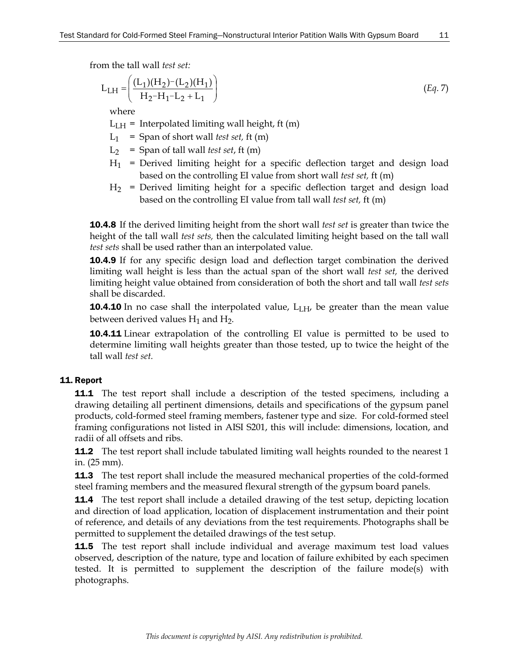from the tall wall *test set:*

$$
L_{LH} = \left(\frac{(L_1)(H_2) - (L_2)(H_1)}{H_2 - H_1 - L_2 + L_1}\right) \tag{Eq. 7}
$$

where

 $L<sub>LH</sub>$  = Interpolated limiting wall height, ft (m)

L1 = Span of short wall *test set,* ft (m)

 $L_2$  = Span of tall wall *test set*, ft (m)

- $H_1$  = Derived limiting height for a specific deflection target and design load based on the controlling EI value from short wall *test set,* ft (m)
- $H<sub>2</sub>$  = Derived limiting height for a specific deflection target and design load based on the controlling EI value from tall wall *test set,* ft (m)

10.4.8 If the derived limiting height from the short wall *test set* is greater than twice the height of the tall wall *test sets,* then the calculated limiting height based on the tall wall *test sets* shall be used rather than an interpolated value.

**10.4.9** If for any specific design load and deflection target combination the derived limiting wall height is less than the actual span of the short wall *test set,* the derived limiting height value obtained from consideration of both the short and tall wall *test sets* shall be discarded.

**10.4.10** In no case shall the interpolated value, L<sub>LH</sub>, be greater than the mean value between derived values  $H_1$  and  $H_2$ .

**10.4.11** Linear extrapolation of the controlling EI value is permitted to be used to determine limiting wall heights greater than those tested, up to twice the height of the tall wall *test set.*

# 11. Report

**11.1** The test report shall include a description of the tested specimens, including a drawing detailing all pertinent dimensions, details and specifications of the gypsum panel products, cold-formed steel framing members, fastener type and size. For cold-formed steel framing configurations not listed in AISI S201, this will include: dimensions, location, and radii of all offsets and ribs.

**11.2** The test report shall include tabulated limiting wall heights rounded to the nearest 1 in. (25 mm).

**11.3** The test report shall include the measured mechanical properties of the cold-formed steel framing members and the measured flexural strength of the gypsum board panels.

**11.4** The test report shall include a detailed drawing of the test setup, depicting location and direction of load application, location of displacement instrumentation and their point of reference, and details of any deviations from the test requirements. Photographs shall be permitted to supplement the detailed drawings of the test setup.

**11.5** The test report shall include individual and average maximum test load values observed, description of the nature, type and location of failure exhibited by each specimen tested. It is permitted to supplement the description of the failure mode(s) with photographs.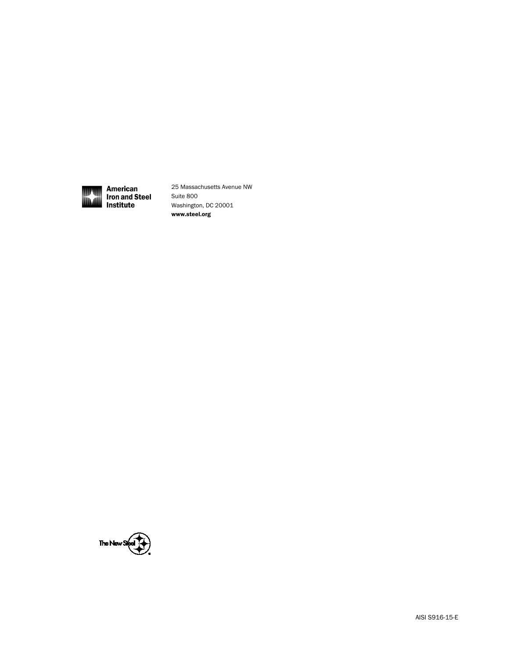

American<br>Iron and Steel<br>Institute

25 Massachusetts Avenue NW Suite 800 Washington, DC 20001 www.steel.org